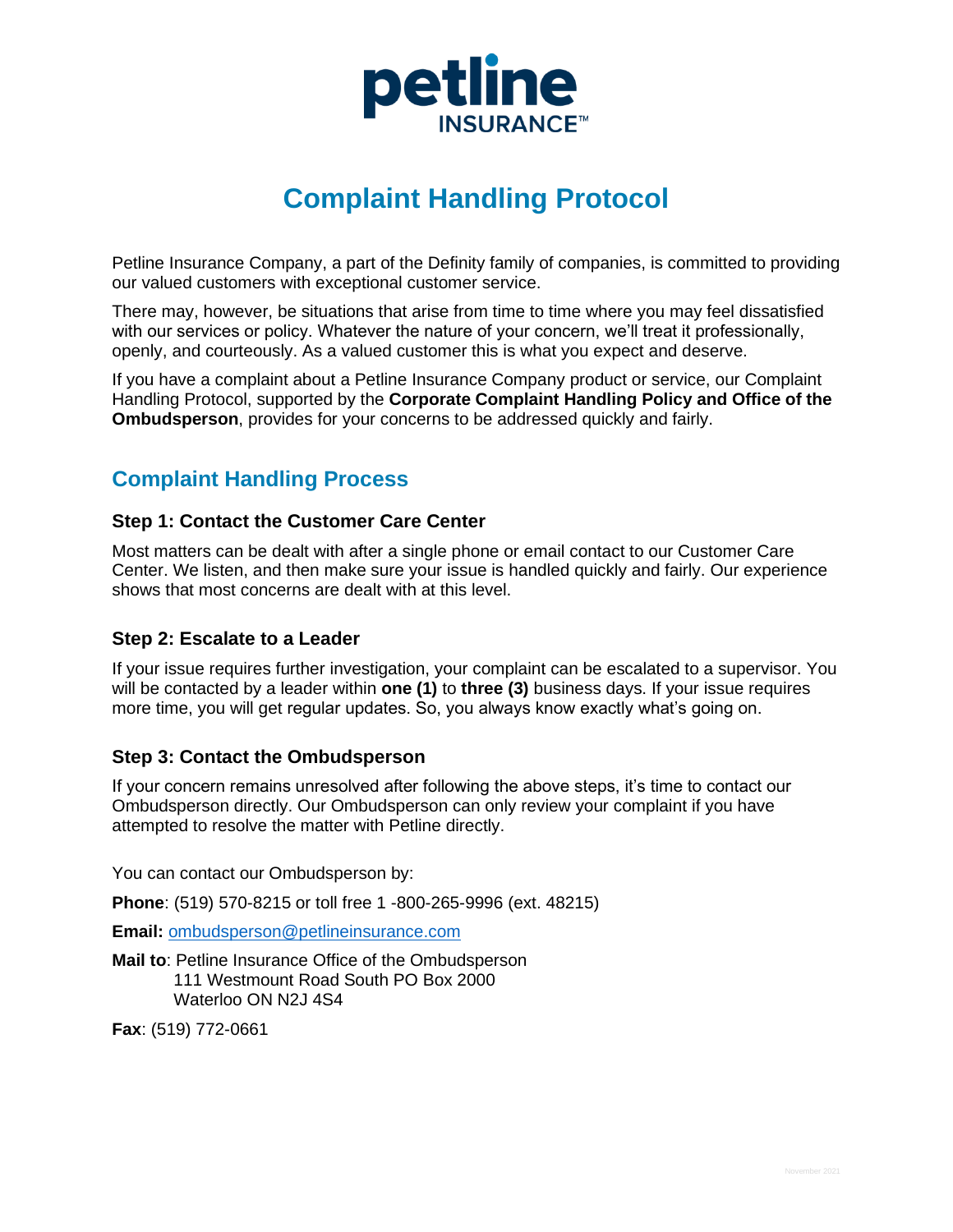

# **Complaint Handling Protocol**

Petline Insurance Company, a part of the Definity family of companies, is committed to providing our valued customers with exceptional customer service.

There may, however, be situations that arise from time to time where you may feel dissatisfied with our services or policy. Whatever the nature of your concern, we'll treat it professionally, openly, and courteously. As a valued customer this is what you expect and deserve.

If you have a complaint about a Petline Insurance Company product or service, our Complaint Handling Protocol, supported by the **Corporate Complaint Handling Policy and Office of the Ombudsperson**, provides for your concerns to be addressed quickly and fairly.

## **Complaint Handling Process**

## **Step 1: Contact the Customer Care Center**

Most matters can be dealt with after a single phone or email contact to our Customer Care Center. We listen, and then make sure your issue is handled quickly and fairly. Our experience shows that most concerns are dealt with at this level.

## **Step 2: Escalate to a Leader**

If your issue requires further investigation, your complaint can be escalated to a supervisor. You will be contacted by a leader within **one (1)** to **three (3)** business days. If your issue requires more time, you will get regular updates. So, you always know exactly what's going on.

## **Step 3: Contact the Ombudsperson**

If your concern remains unresolved after following the above steps, it's time to contact our Ombudsperson directly. Our Ombudsperson can only review your complaint if you have attempted to resolve the matter with Petline directly.

You can contact our Ombudsperson by:

**Phone**: (519) 570-8215 or toll free 1 -800-265-9996 (ext. 48215)

**Email:** [ombudsperson@petlineinsurance.com](mailto:ombudsperson@petlineinsurance.com)

**Mail to**: Petline Insurance Office of the Ombudsperson 111 Westmount Road South PO Box 2000 Waterloo ON N2J 4S4

**Fax**: (519) 772-0661